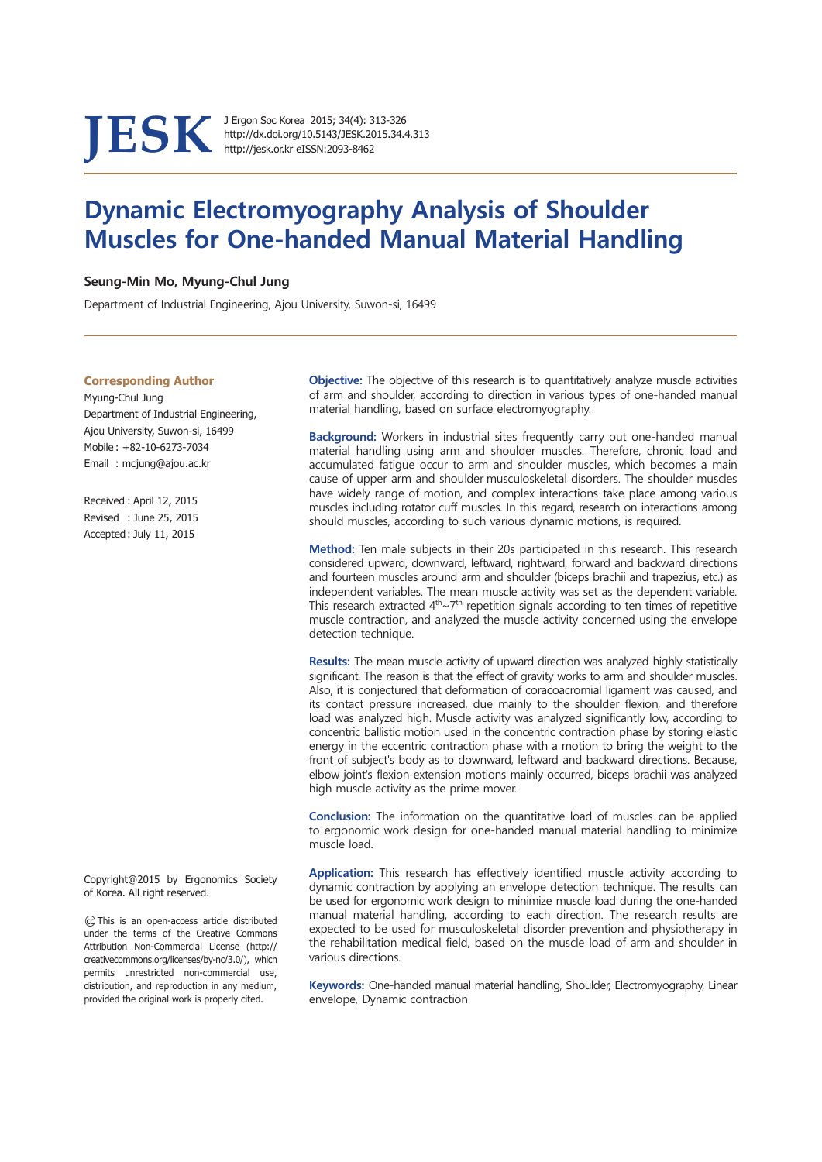JESK J Ergon Soc Korea 2015; 34(4): 313-326<br>http://dx.doi.org/10.5143/JESK.2015.34.4.313<br>http://jesk.or.kr eISSN:2093-8462

# **Dynamic Electromyography Analysis of Shoulder Muscles for One-handed Manual Material Handling**

#### Seung-Min Mo, Myung-Chul Jung

Department of Industrial Engineering, Ajou University, Suwon-si, 16499

#### **Corresponding Author**

Myung-Chul Jung Department of Industrial Engineering, Ajou University, Suwon-si, 16499 Mobile: +82-10-6273-7034 Email: mcjung@ajou.ac.kr

Received: April 12, 2015 Revised: June 25, 2015 Accepted: July 11, 2015

Copyright@2015 by Ergonomics Society of Korea. All right reserved.

@ This is an open-access article distributed under the terms of the Creative Commons Attribution Non-Commercial License (http:// creativecommons.org/licenses/by-nc/3.0/), which permits unrestricted non-commercial use, distribution, and reproduction in any medium, provided the original work is properly cited.

Objective: The objective of this research is to quantitatively analyze muscle activities of arm and shoulder, according to direction in various types of one-handed manual material handling, based on surface electromyography.

Background: Workers in industrial sites frequently carry out one-handed manual material handling using arm and shoulder muscles. Therefore, chronic load and accumulated fatique occur to arm and shoulder muscles, which becomes a main cause of upper arm and shoulder musculoskeletal disorders. The shoulder muscles have widely range of motion, and complex interactions take place among various muscles including rotator cuff muscles. In this regard, research on interactions among should muscles, according to such various dynamic motions, is required.

Method: Ten male subjects in their 20s participated in this research. This research considered upward, downward, leftward, rightward, forward and backward directions and fourteen muscles around arm and shoulder (biceps brachii and trapezius, etc.) as independent variables. The mean muscle activity was set as the dependent variable. This research extracted  $4<sup>th</sup>~7<sup>th</sup>$  repetition signals according to ten times of repetitive muscle contraction, and analyzed the muscle activity concerned using the envelope detection technique.

Results: The mean muscle activity of upward direction was analyzed highly statistically significant. The reason is that the effect of gravity works to arm and shoulder muscles. Also, it is conjectured that deformation of coracoacromial ligament was caused, and its contact pressure increased, due mainly to the shoulder flexion, and therefore load was analyzed high. Muscle activity was analyzed significantly low, according to concentric ballistic motion used in the concentric contraction phase by storing elastic energy in the eccentric contraction phase with a motion to bring the weight to the front of subject's body as to downward, leftward and backward directions. Because, elbow joint's flexion-extension motions mainly occurred, biceps brachii was analyzed high muscle activity as the prime mover.

**Conclusion:** The information on the quantitative load of muscles can be applied to ergonomic work design for one-handed manual material handling to minimize muscle load.

Application: This research has effectively identified muscle activity according to dynamic contraction by applying an envelope detection technique. The results can be used for ergonomic work design to minimize muscle load during the one-handed manual material handling, according to each direction. The research results are expected to be used for musculoskeletal disorder prevention and physiotherapy in the rehabilitation medical field, based on the muscle load of arm and shoulder in various directions.

Keywords: One-handed manual material handling, Shoulder, Electromyography, Linear envelope, Dynamic contraction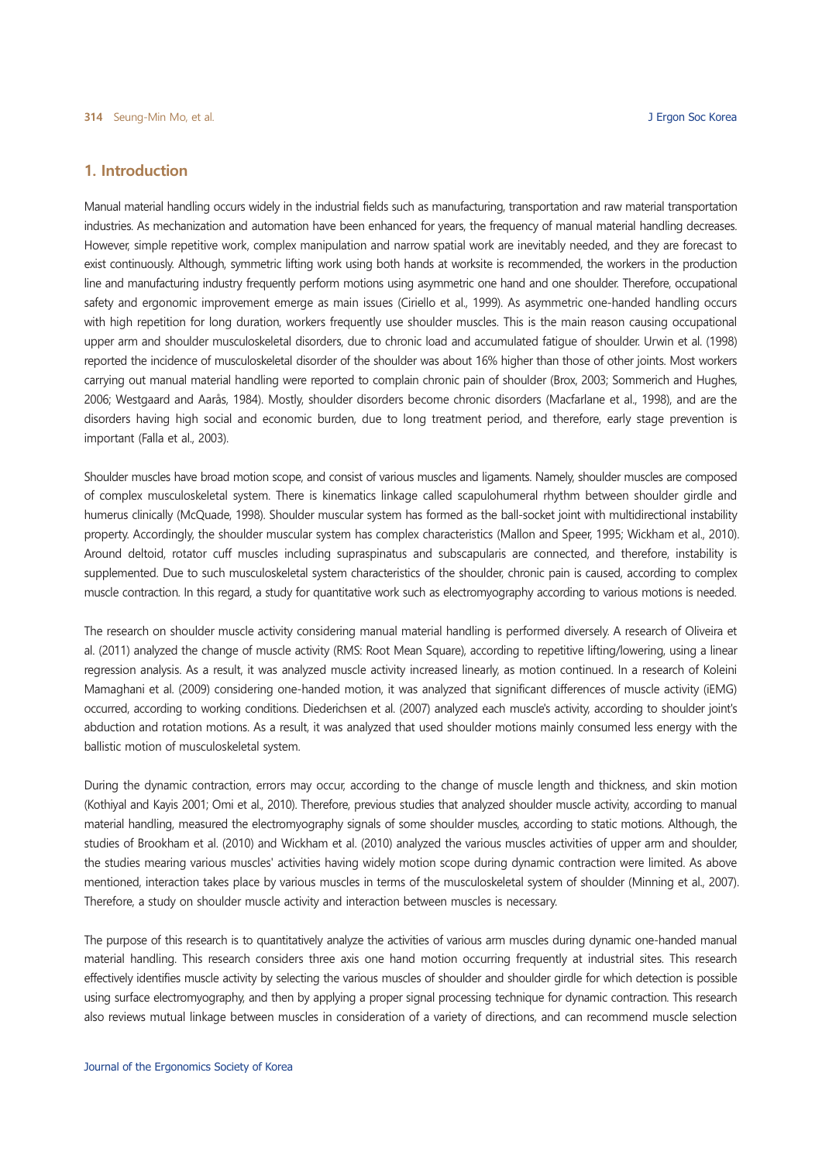# 1. Introduction

Manual material handling occurs widely in the industrial fields such as manufacturing, transportation and raw material transportation industries. As mechanization and automation have been enhanced for years, the frequency of manual material handling decreases. However, simple repetitive work, complex manipulation and narrow spatial work are inevitably needed, and they are forecast to exist continuously. Although, symmetric lifting work using both hands at worksite is recommended, the workers in the production line and manufacturing industry frequently perform motions using asymmetric one hand and one shoulder. Therefore, occupational safety and ergonomic improvement emerge as main issues (Ciriello et al., 1999). As asymmetric one-handed handling occurs with high repetition for long duration, workers frequently use shoulder muscles. This is the main reason causing occupational upper arm and shoulder musculoskeletal disorders, due to chronic load and accumulated fatique of shoulder. Urwin et al. (1998) reported the incidence of musculoskeletal disorder of the shoulder was about 16% higher than those of other joints. Most workers carrying out manual material handling were reported to complain chronic pain of shoulder (Brox, 2003; Sommerich and Hughes, 2006; Westgaard and Aarås, 1984). Mostly, shoulder disorders become chronic disorders (Macfarlane et al., 1998), and are the disorders having high social and economic burden, due to long treatment period, and therefore, early stage prevention is important (Falla et al., 2003).

Shoulder muscles have broad motion scope, and consist of various muscles and ligaments. Namely, shoulder muscles are composed of complex musculoskeletal system. There is kinematics linkage called scapulohumeral rhythm between shoulder girdle and humerus clinically (McQuade, 1998). Shoulder muscular system has formed as the ball-socket joint with multidirectional instability property. Accordingly, the shoulder muscular system has complex characteristics (Mallon and Speer, 1995; Wickham et al., 2010). Around deltoid, rotator cuff muscles including supraspinatus and subscapularis are connected, and therefore, instability is supplemented. Due to such musculoskeletal system characteristics of the shoulder, chronic pain is caused, according to complex muscle contraction. In this regard, a study for quantitative work such as electromyography according to various motions is needed.

The research on shoulder muscle activity considering manual material handling is performed diversely. A research of Oliveira et al. (2011) analyzed the change of muscle activity (RMS: Root Mean Square), according to repetitive lifting/lowering, using a linear regression analysis. As a result, it was analyzed muscle activity increased linearly, as motion continued. In a research of Koleini Mamaghani et al. (2009) considering one-handed motion, it was analyzed that significant differences of muscle activity (iEMG) occurred, according to working conditions. Diederichsen et al. (2007) analyzed each muscle's activity, according to shoulder joint's abduction and rotation motions. As a result, it was analyzed that used shoulder motions mainly consumed less energy with the ballistic motion of musculoskeletal system.

During the dynamic contraction, errors may occur, according to the change of muscle length and thickness, and skin motion (Kothiyal and Kayis 2001; Omi et al., 2010). Therefore, previous studies that analyzed shoulder muscle activity, according to manual material handling, measured the electromyography signals of some shoulder muscles, according to static motions. Although, the studies of Brookham et al. (2010) and Wickham et al. (2010) analyzed the various muscles activities of upper arm and shoulder, the studies mearing various muscles' activities having widely motion scope during dynamic contraction were limited. As above mentioned, interaction takes place by various muscles in terms of the musculoskeletal system of shoulder (Minning et al., 2007). Therefore, a study on shoulder muscle activity and interaction between muscles is necessary.

The purpose of this research is to quantitatively analyze the activities of various arm muscles during dynamic one-handed manual material handling. This research considers three axis one hand motion occurring frequently at industrial sites. This research effectively identifies muscle activity by selecting the various muscles of shoulder and shoulder girdle for which detection is possible using surface electromyography, and then by applying a proper signal processing technique for dynamic contraction. This research also reviews mutual linkage between muscles in consideration of a variety of directions, and can recommend muscle selection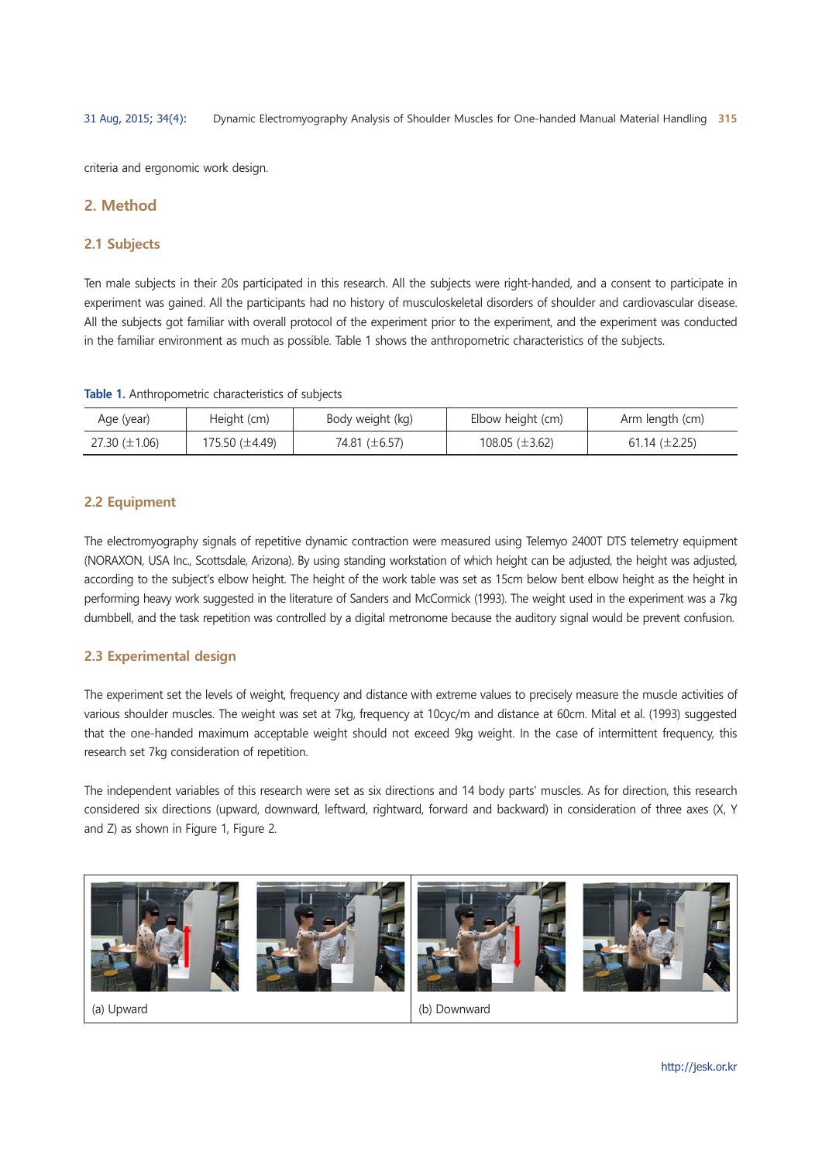criteria and ergonomic work design.

# 2. Method

### 2.1 Subjects

Ten male subjects in their 20s participated in this research. All the subjects were right-handed, and a consent to participate in experiment was gained. All the participants had no history of musculoskeletal disorders of shoulder and cardiovascular disease. All the subjects got familiar with overall protocol of the experiment prior to the experiment, and the experiment was conducted in the familiar environment as much as possible. Table 1 shows the anthropometric characteristics of the subjects.

| Age (year)         | Height (cm)    | Body weight (kg) | Elbow height (cm)     | Arm length (cm)    |
|--------------------|----------------|------------------|-----------------------|--------------------|
| 27.30 $(\pm 1.06)$ | 175.50 (±4.49) | 74.81 (±6.57)    | $108.05 \ (\pm 3.62)$ | 61.14 $(\pm 2.25)$ |

#### 2.2 Equipment

The electromyography signals of repetitive dynamic contraction were measured using Telemyo 2400T DTS telemetry equipment (NORAXON, USA Inc., Scottsdale, Arizona). By using standing workstation of which height can be adjusted, the height was adjusted, according to the subject's elbow height. The height of the work table was set as 15cm below bent elbow height as the height in performing heavy work suggested in the literature of Sanders and McCormick (1993). The weight used in the experiment was a 7kg dumbbell, and the task repetition was controlled by a digital metronome because the auditory signal would be prevent confusion.

#### 2.3 Experimental design

The experiment set the levels of weight, frequency and distance with extreme values to precisely measure the muscle activities of various shoulder muscles. The weight was set at 7kg, frequency at 10cyc/m and distance at 60cm. Mital et al. (1993) suggested that the one-handed maximum acceptable weight should not exceed 9kg weight. In the case of intermittent frequency, this research set 7kg consideration of repetition.

The independent variables of this research were set as six directions and 14 body parts' muscles. As for direction, this research considered six directions (upward, downward, leftward, rightward, forward and backward) in consideration of three axes (X, Y and Z) as shown in Figure 1, Figure 2.

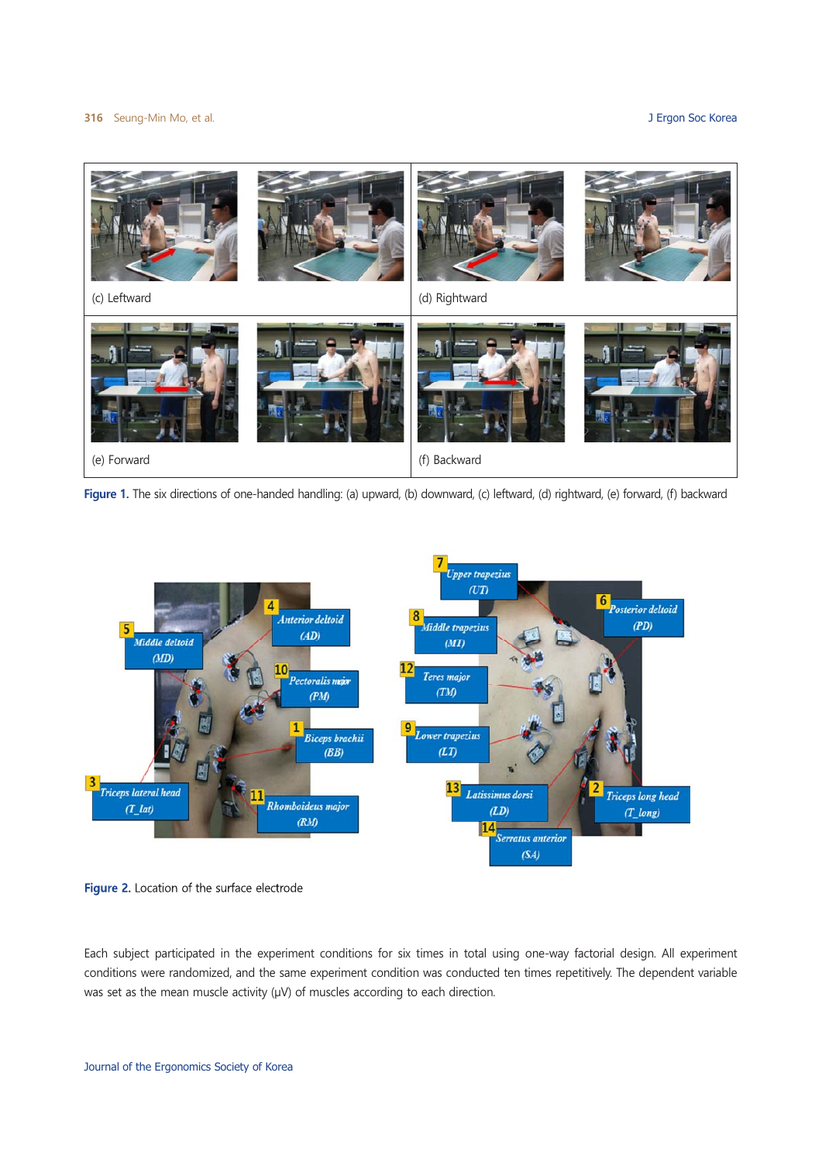#### 316 Seung-Min Mo, et al.

#### J Ergon Soc Korea



Figure 1. The six directions of one-handed handling: (a) upward, (b) downward, (c) leftward, (d) rightward, (e) forward, (f) backward



Figure 2. Location of the surface electrode

Each subject participated in the experiment conditions for six times in total using one-way factorial design. All experiment conditions were randomized, and the same experiment condition was conducted ten times repetitively. The dependent variable was set as the mean muscle activity  $(\mu V)$  of muscles according to each direction.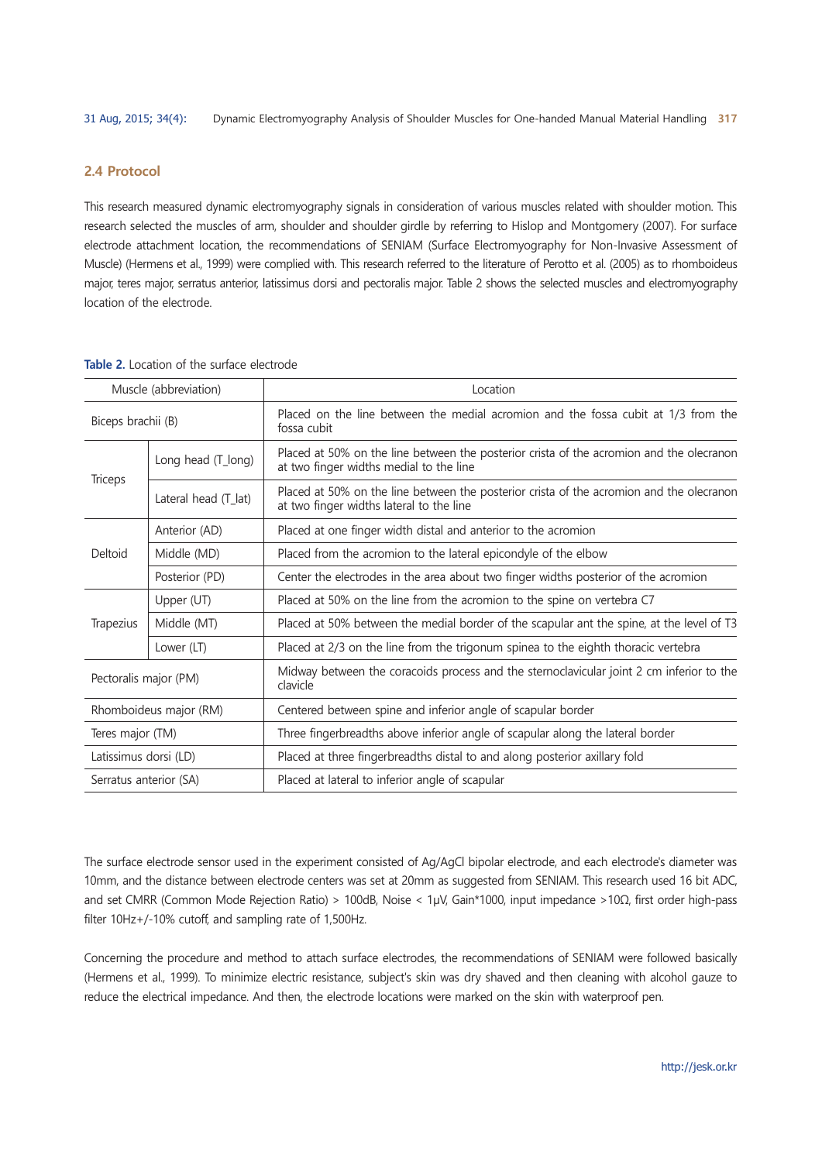#### 2.4 Protocol

This research measured dynamic electromyography signals in consideration of various muscles related with shoulder motion. This research selected the muscles of arm, shoulder and shoulder girdle by referring to Hislop and Montgomery (2007). For surface electrode attachment location, the recommendations of SENIAM (Surface Electromyography for Non-Invasive Assessment of Muscle) (Hermens et al., 1999) were complied with. This research referred to the literature of Perotto et al. (2005) as to rhomboideus major, teres major, serratus anterior, latissimus dorsi and pectoralis major. Table 2 shows the selected muscles and electromyography location of the electrode.

| Muscle (abbreviation)  |                      | Location                                                                                                                             |  |  |
|------------------------|----------------------|--------------------------------------------------------------------------------------------------------------------------------------|--|--|
| Biceps brachii (B)     |                      | Placed on the line between the medial acromion and the fossa cubit at 1/3 from the<br>fossa cubit                                    |  |  |
| Triceps                | Long head (T_long)   | Placed at 50% on the line between the posterior crista of the acromion and the olecranon<br>at two finger widths medial to the line  |  |  |
|                        | Lateral head (T lat) | Placed at 50% on the line between the posterior crista of the acromion and the olecranon<br>at two finger widths lateral to the line |  |  |
| Deltoid                | Anterior (AD)        | Placed at one finger width distal and anterior to the acromion                                                                       |  |  |
|                        | Middle (MD)          | Placed from the acromion to the lateral epicondyle of the elbow                                                                      |  |  |
|                        | Posterior (PD)       | Center the electrodes in the area about two finger widths posterior of the acromion                                                  |  |  |
| Trapezius              | Upper (UT)           | Placed at 50% on the line from the acromion to the spine on vertebra C7                                                              |  |  |
|                        | Middle (MT)          | Placed at 50% between the medial border of the scapular ant the spine, at the level of T3                                            |  |  |
|                        | Lower (LT)           | Placed at 2/3 on the line from the trigonum spinea to the eighth thoracic vertebra                                                   |  |  |
| Pectoralis major (PM)  |                      | Midway between the coracoids process and the sternoclavicular joint 2 cm inferior to the<br>clavicle                                 |  |  |
| Rhomboideus major (RM) |                      | Centered between spine and inferior angle of scapular border                                                                         |  |  |
| Teres major (TM)       |                      | Three fingerbreadths above inferior angle of scapular along the lateral border                                                       |  |  |
| Latissimus dorsi (LD)  |                      | Placed at three fingerbreadths distal to and along posterior axillary fold                                                           |  |  |
| Serratus anterior (SA) |                      | Placed at lateral to inferior angle of scapular                                                                                      |  |  |

Table 2. Location of the surface electrode

The surface electrode sensor used in the experiment consisted of Ag/AgCl bipolar electrode, and each electrode's diameter was 10mm, and the distance between electrode centers was set at 20mm as suggested from SENIAM. This research used 16 bit ADC, and set CMRR (Common Mode Rejection Ratio) > 100dB, Noise < 1μV, Gain\*1000, input impedance >10Ω, first order high-pass filter 10Hz+/-10% cutoff, and sampling rate of 1,500Hz.

Concerning the procedure and method to attach surface electrodes, the recommendations of SENIAM were followed basically (Hermens et al., 1999). To minimize electric resistance, subject's skin was dry shaved and then cleaning with alcohol gauze to reduce the electrical impedance. And then, the electrode locations were marked on the skin with waterproof pen.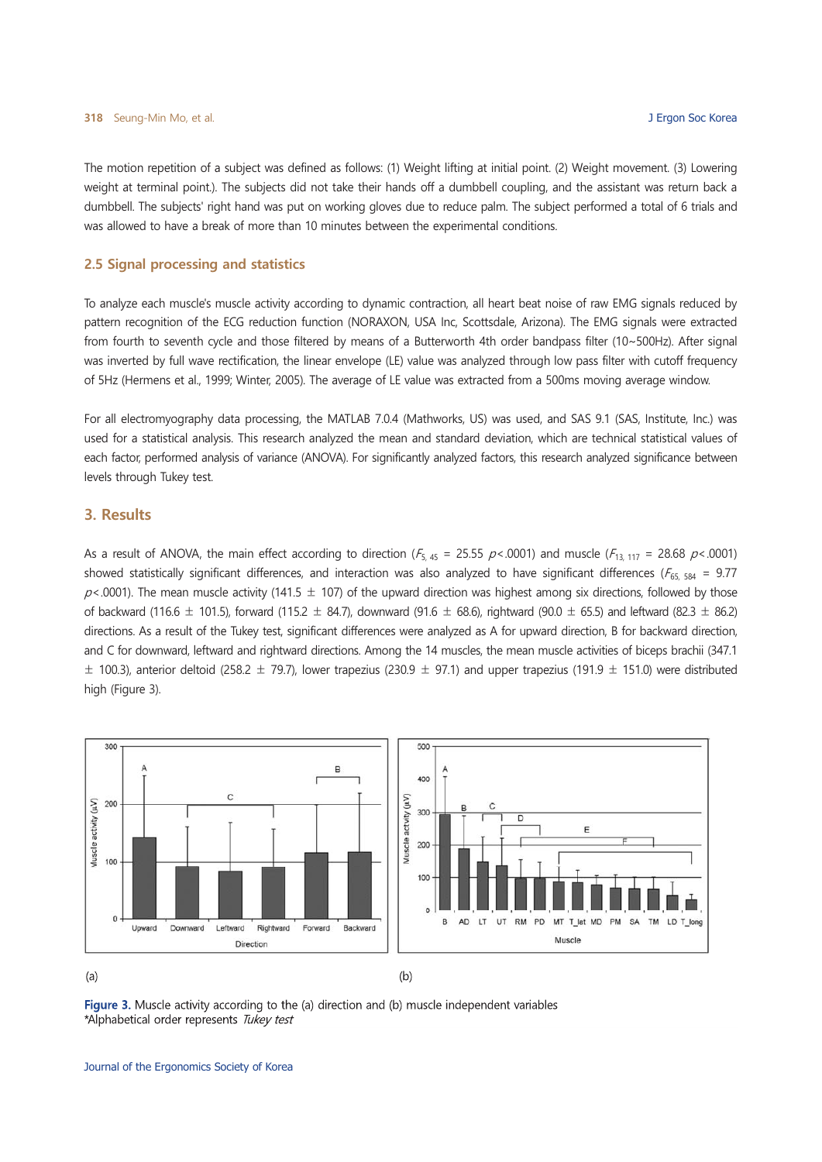The motion repetition of a subject was defined as follows: (1) Weight lifting at initial point. (2) Weight movement. (3) Lowering weight at terminal point.). The subjects did not take their hands off a dumbbell coupling, and the assistant was return back a dumbbell. The subjects' right hand was put on working gloves due to reduce palm. The subject performed a total of 6 trials and was allowed to have a break of more than 10 minutes between the experimental conditions.

#### 2.5 Signal processing and statistics

To analyze each muscle's muscle activity according to dynamic contraction, all heart beat noise of raw EMG signals reduced by pattern recognition of the ECG reduction function (NORAXON, USA Inc, Scottsdale, Arizona). The EMG signals were extracted from fourth to seventh cycle and those filtered by means of a Butterworth 4th order bandpass filter (10~500Hz). After signal was inverted by full wave rectification, the linear envelope (LE) value was analyzed through low pass filter with cutoff frequency of 5Hz (Hermens et al., 1999; Winter, 2005). The average of LE value was extracted from a 500ms moving average window.

For all electromyography data processing, the MATLAB 7.0.4 (Mathworks, US) was used, and SAS 9.1 (SAS, Institute, Inc.) was used for a statistical analysis. This research analyzed the mean and standard deviation, which are technical statistical values of each factor, performed analysis of variance (ANOVA). For significantly analyzed factors, this research analyzed significance between levels through Tukey test.

#### 3. Results

As a result of ANOVA, the main effect according to direction ( $F_{5,45}$  = 25.55  $p$ <.0001) and muscle ( $F_{13,117}$  = 28.68  $p$ <.0001) showed statistically significant differences, and interaction was also analyzed to have significant differences ( $F_{65.584}$  = 9.77  $p$ <.0001). The mean muscle activity (141.5  $\pm$  107) of the upward direction was highest among six directions, followed by those of backward (116.6  $\pm$  101.5), forward (115.2  $\pm$  84.7), downward (91.6  $\pm$  68.6), rightward (90.0  $\pm$  65.5) and leftward (82.3  $\pm$  86.2) directions. As a result of the Tukey test, significant differences were analyzed as A for upward direction. B for backward direction. and C for downward, leftward and rightward directions. Among the 14 muscles, the mean muscle activities of biceps brachii (347.1)  $\pm$  100.3), anterior deltoid (258.2  $\pm$  79.7), lower trapezius (230.9  $\pm$  97.1) and upper trapezius (191.9  $\pm$  151.0) were distributed high (Figure 3).



 $(a)$ 

 $(b)$ 

Figure 3. Muscle activity according to the (a) direction and (b) muscle independent variables \*Alphabetical order represents Tukey test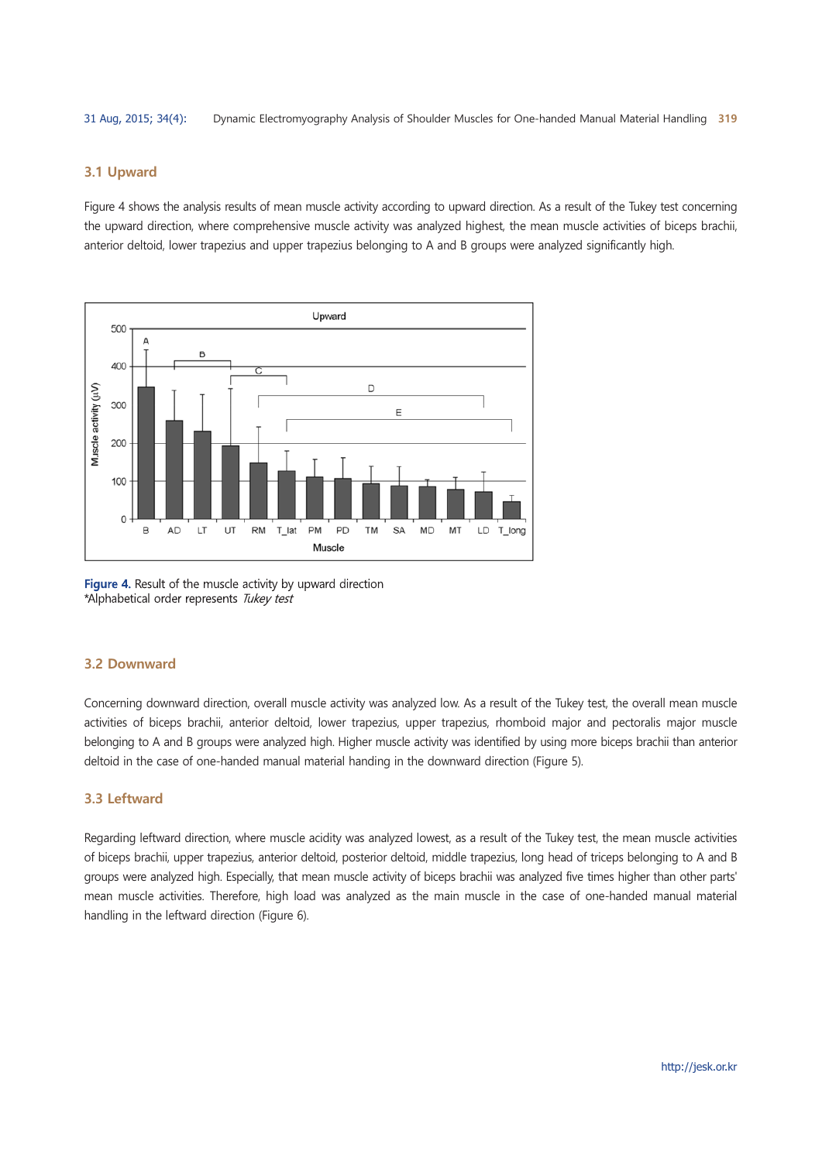#### 3.1 Upward

Figure 4 shows the analysis results of mean muscle activity according to upward direction. As a result of the Tukey test concerning the upward direction, where comprehensive muscle activity was analyzed highest, the mean muscle activities of biceps brachii, anterior deltoid, lower trapezius and upper trapezius belonging to A and B groups were analyzed significantly high.



Figure 4. Result of the muscle activity by upward direction \*Alphabetical order represents Tukey test

#### 3.2 Downward

Concerning downward direction, overall muscle activity was analyzed low. As a result of the Tukey test, the overall mean muscle activities of biceps brachii, anterior deltoid, lower trapezius, upper trapezius, rhomboid major and pectoralis major muscle belonging to A and B groups were analyzed high. Higher muscle activity was identified by using more biceps brachii than anterior deltoid in the case of one-handed manual material handing in the downward direction (Figure 5).

#### 3.3 Leftward

Regarding leftward direction, where muscle acidity was analyzed lowest, as a result of the Tukey test, the mean muscle activities of biceps brachii, upper trapezius, anterior deltoid, posterior deltoid, middle trapezius, long head of triceps belonging to A and B groups were analyzed high. Especially, that mean muscle activity of biceps brachii was analyzed five times higher than other parts' mean muscle activities. Therefore, high load was analyzed as the main muscle in the case of one-handed manual material handling in the leftward direction (Figure 6).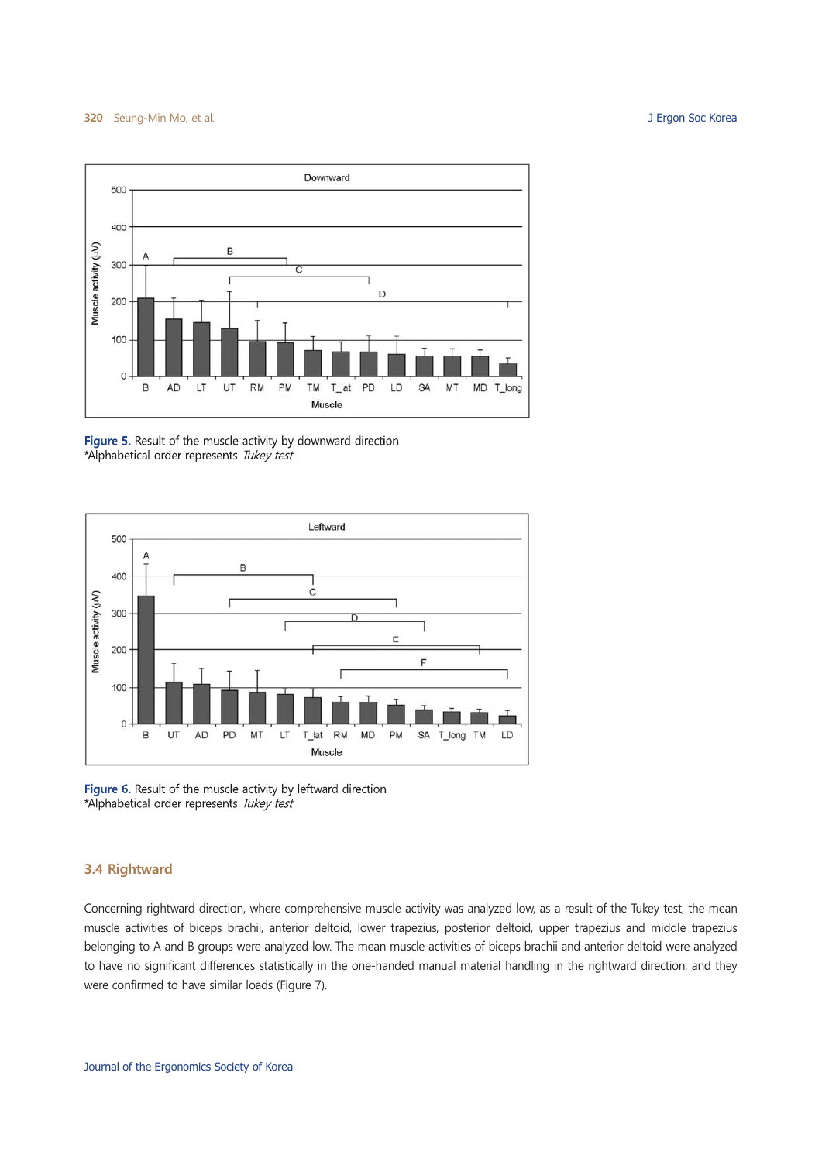J Ergon Soc Korea



Figure 5. Result of the muscle activity by downward direction \*Alphabetical order represents Tukey test



Figure 6. Result of the muscle activity by leftward direction \*Alphabetical order represents Tukey test

# 3.4 Rightward

Concerning rightward direction, where comprehensive muscle activity was analyzed low, as a result of the Tukey test, the mean muscle activities of biceps brachii, anterior deltoid, lower trapezius, posterior deltoid, upper trapezius and middle trapezius belonging to A and B groups were analyzed low. The mean muscle activities of biceps brachii and anterior deltoid were analyzed to have no significant differences statistically in the one-handed manual material handling in the rightward direction, and they were confirmed to have similar loads (Figure 7).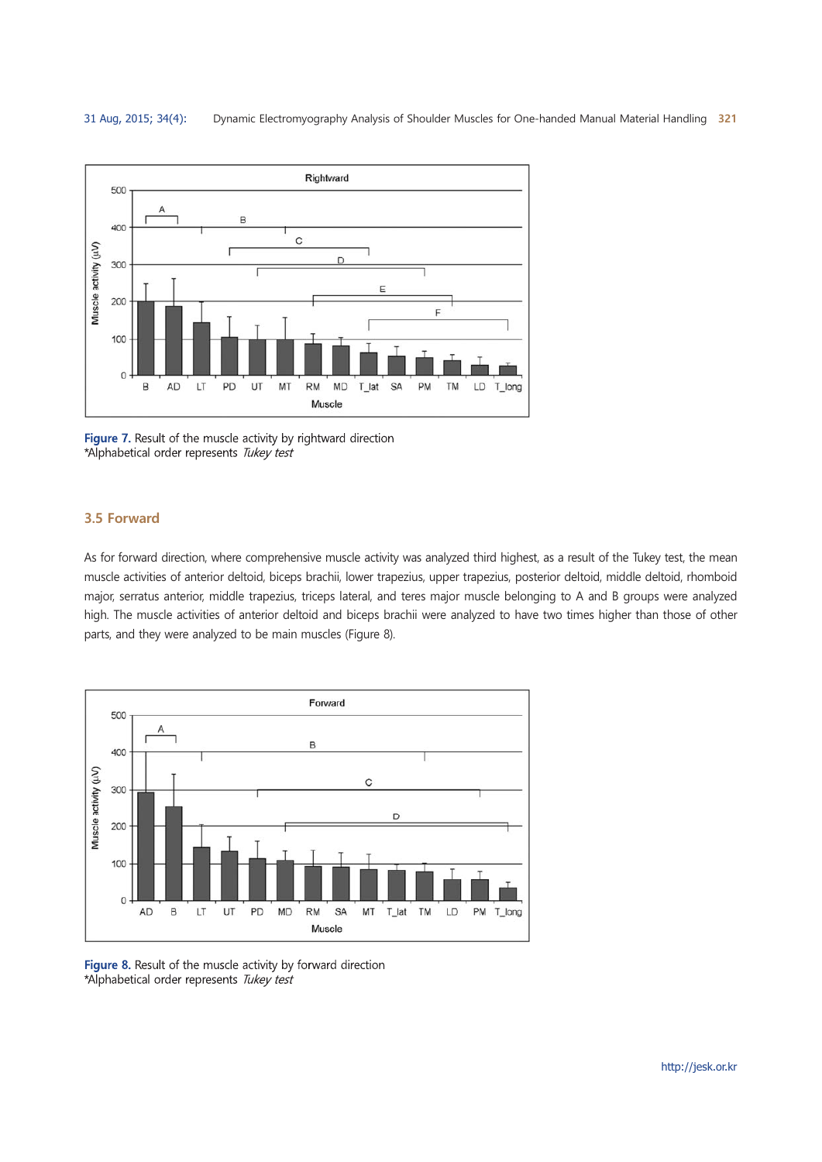

Figure 7. Result of the muscle activity by rightward direction \*Alphabetical order represents Tukey test

#### 3.5 Forward

As for forward direction, where comprehensive muscle activity was analyzed third highest, as a result of the Tukey test, the mean muscle activities of anterior deltoid, biceps brachii, lower trapezius, upper trapezius, posterior deltoid, middle deltoid, rhomboid major, serratus anterior, middle trapezius, triceps lateral, and teres major muscle belonging to A and B groups were analyzed high. The muscle activities of anterior deltoid and biceps brachii were analyzed to have two times higher than those of other parts, and they were analyzed to be main muscles (Figure 8).



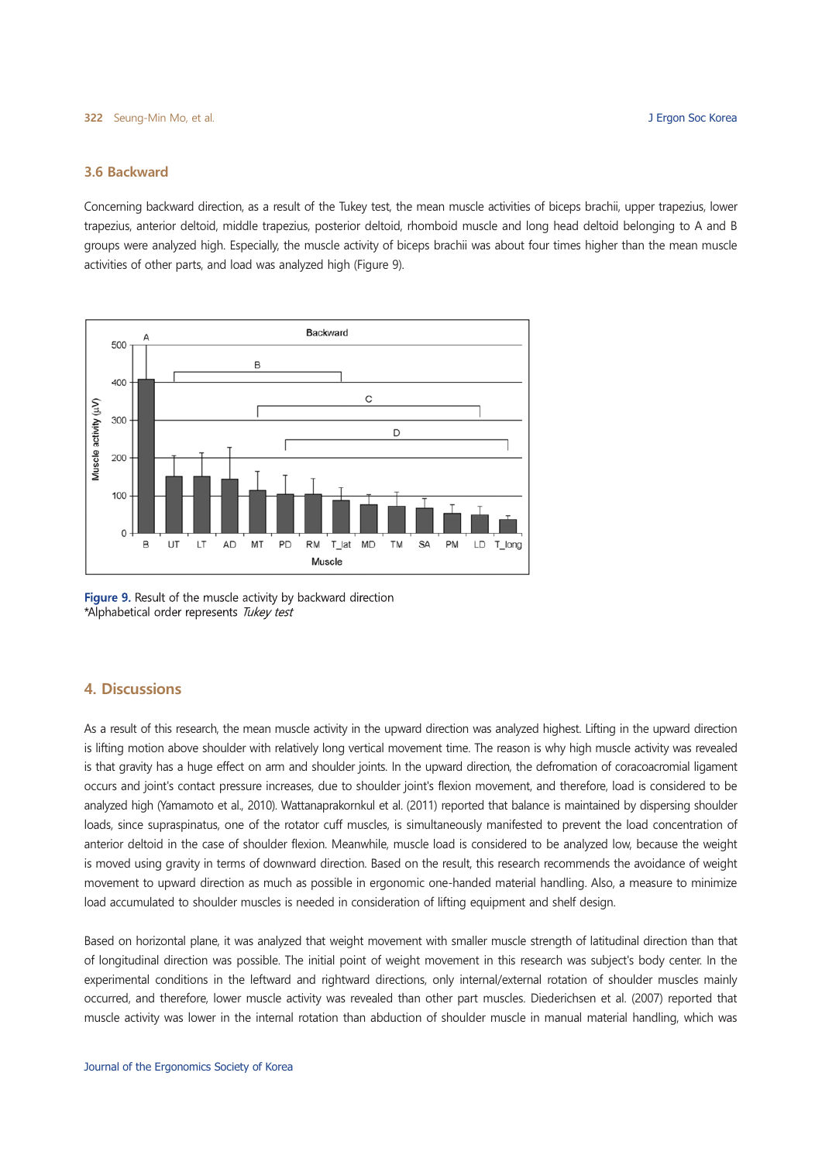#### 3.6 Backward

Concerning backward direction, as a result of the Tukey test, the mean muscle activities of biceps brachii, upper trapezius, lower trapezius, anterior deltoid, middle trapezius, posterior deltoid, rhomboid muscle and long head deltoid belonging to A and B groups were analyzed high. Especially, the muscle activity of biceps brachii was about four times higher than the mean muscle activities of other parts, and load was analyzed high (Figure 9).



Figure 9. Result of the muscle activity by backward direction \*Alphabetical order represents Tukey test

## **4. Discussions**

As a result of this research, the mean muscle activity in the upward direction was analyzed highest. Lifting in the upward direction is lifting motion above shoulder with relatively long vertical movement time. The reason is why high muscle activity was revealed is that gravity has a huge effect on arm and shoulder joints. In the upward direction, the defromation of coracoacromial ligament occurs and joint's contact pressure increases, due to shoulder joint's flexion movement, and therefore, load is considered to be analyzed high (Yamamoto et al., 2010). Wattanaprakornkul et al. (2011) reported that balance is maintained by dispersing shoulder loads, since supraspinatus, one of the rotator cuff muscles, is simultaneously manifested to prevent the load concentration of anterior deltoid in the case of shoulder flexion. Meanwhile, muscle load is considered to be analyzed low, because the weight is moved using gravity in terms of downward direction. Based on the result, this research recommends the avoidance of weight movement to upward direction as much as possible in ergonomic one-handed material handling. Also, a measure to minimize load accumulated to shoulder muscles is needed in consideration of lifting equipment and shelf design.

Based on horizontal plane, it was analyzed that weight movement with smaller muscle strength of latitudinal direction than that of longitudinal direction was possible. The initial point of weight movement in this research was subject's body center. In the experimental conditions in the leftward and rightward directions, only internal/external rotation of shoulder muscles mainly occurred, and therefore, lower muscle activity was revealed than other part muscles. Diederichsen et al. (2007) reported that muscle activity was lower in the internal rotation than abduction of shoulder muscle in manual material handling, which was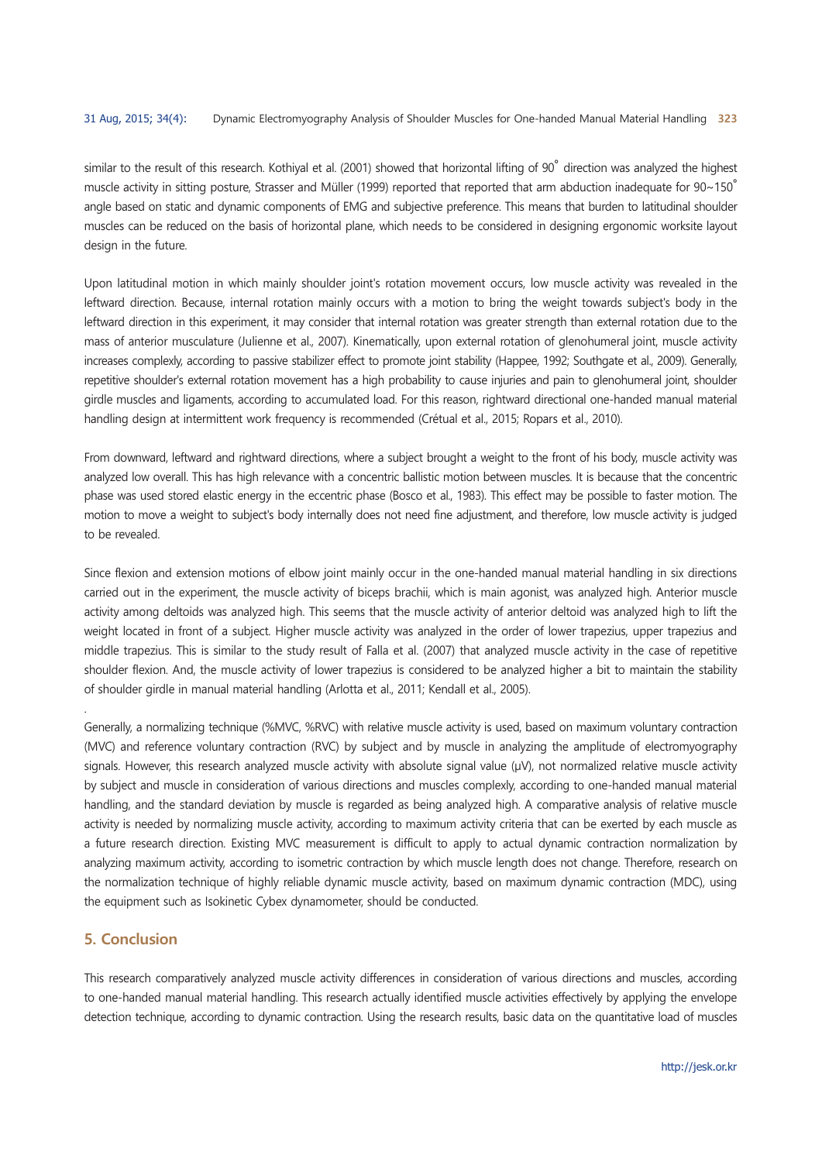similar to the result of this research. Kothiyal et al. (2001) showed that horizontal lifting of 90° direction was analyzed the highest muscle activity in sitting posture, Strasser and Müller (1999) reported that reported that arm abduction inadequate for  $90~150^\circ$ angle based on static and dynamic components of EMG and subjective preference. This means that burden to latitudinal shoulder muscles can be reduced on the basis of horizontal plane, which needs to be considered in designing ergonomic worksite layout design in the future.

Upon latitudinal motion in which mainly shoulder joint's rotation movement occurs, low muscle activity was revealed in the leftward direction. Because, internal rotation mainly occurs with a motion to bring the weight towards subject's body in the leftward direction in this experiment, it may consider that internal rotation was greater strength than external rotation due to the mass of anterior musculature (Julienne et al., 2007). Kinematically, upon external rotation of glenohumeral joint, muscle activity increases complexly, according to passive stabilizer effect to promote joint stability (Happee, 1992; Southgate et al., 2009). Generally, repetitive shoulder's external rotation movement has a high probability to cause injuries and pain to glenohumeral joint, shoulder girdle muscles and ligaments, according to accumulated load. For this reason, rightward directional one-handed manual material handling design at intermittent work frequency is recommended (Crétual et al., 2015; Ropars et al., 2010).

From downward, leftward and rightward directions, where a subject brought a weight to the front of his body, muscle activity was analyzed low overall. This has high relevance with a concentric ballistic motion between muscles. It is because that the concentric phase was used stored elastic energy in the eccentric phase (Bosco et al., 1983). This effect may be possible to faster motion. The motion to move a weight to subject's body internally does not need fine adjustment, and therefore, low muscle activity is judged to be revealed.

Since flexion and extension motions of elbow joint mainly occur in the one-handed manual material handling in six directions carried out in the experiment, the muscle activity of biceps brachii, which is main agonist, was analyzed high. Anterior muscle activity among deltoids was analyzed high. This seems that the muscle activity of anterior deltoid was analyzed high to lift the weight located in front of a subject. Higher muscle activity was analyzed in the order of lower trapezius, upper trapezius and middle trapezius. This is similar to the study result of Falla et al. (2007) that analyzed muscle activity in the case of repetitive shoulder flexion. And, the muscle activity of lower trapezius is considered to be analyzed higher a bit to maintain the stability of shoulder girdle in manual material handling (Arlotta et al., 2011; Kendall et al., 2005).

Generally, a normalizing technique (%MVC, %RVC) with relative muscle activity is used, based on maximum voluntary contraction (MVC) and reference voluntary contraction (RVC) by subject and by muscle in analyzing the amplitude of electromyography signals. However, this research analyzed muscle activity with absolute signal value ( $\mu$ V), not normalized relative muscle activity by subject and muscle in consideration of various directions and muscles complexly, according to one-handed manual material handling, and the standard deviation by muscle is regarded as being analyzed high. A comparative analysis of relative muscle activity is needed by normalizing muscle activity, according to maximum activity criteria that can be exerted by each muscle as a future research direction. Existing MVC measurement is difficult to apply to actual dynamic contraction normalization by analyzing maximum activity, according to isometric contraction by which muscle length does not change. Therefore, research on the normalization technique of highly reliable dynamic muscle activity, based on maximum dynamic contraction (MDC), using the equipment such as Isokinetic Cybex dynamometer, should be conducted.

#### **5. Conclusion**

This research comparatively analyzed muscle activity differences in consideration of various directions and muscles, according to one-handed manual material handling. This research actually identified muscle activities effectively by applying the envelope detection technique, according to dynamic contraction. Using the research results, basic data on the quantitative load of muscles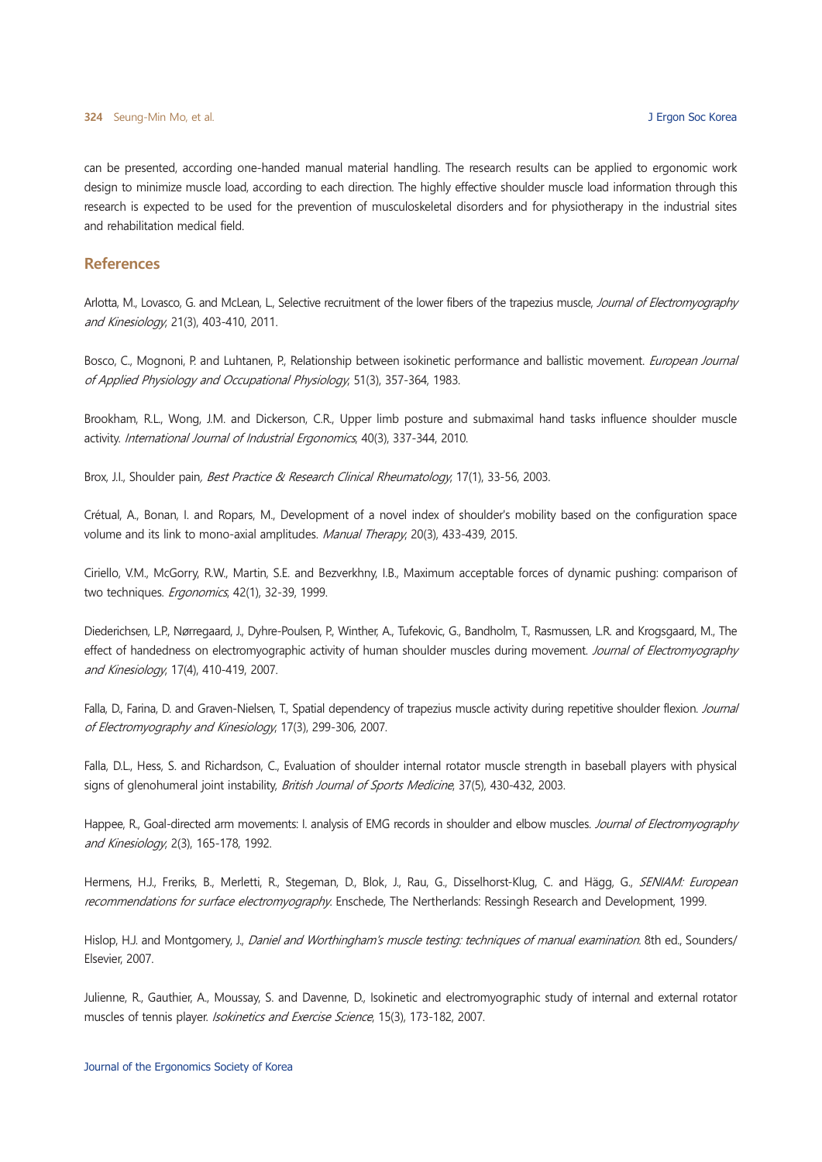can be presented, according one-handed manual material handling. The research results can be applied to ergonomic work design to minimize muscle load, according to each direction. The highly effective shoulder muscle load information through this research is expected to be used for the prevention of musculoskeletal disorders and for physiotherapy in the industrial sites and rehabilitation medical field.

# **References**

Arlotta, M., Lovasco, G. and McLean, L., Selective recruitment of the lower fibers of the trapezius muscle, Journal of Electromyography and Kinesiology, 21(3), 403-410, 2011.

Bosco, C., Mognoni, P. and Luhtanen, P., Relationship between isokinetic performance and ballistic movement. European Journal of Applied Physiology and Occupational Physiology, 51(3), 357-364, 1983.

Brookham, R.L., Wong, J.M. and Dickerson, C.R., Upper limb posture and submaximal hand tasks influence shoulder muscle activity. International Journal of Industrial Ergonomics, 40(3), 337-344, 2010.

Brox, J.I., Shoulder pain, *Best Practice & Research Clinical Rheumatology*, 17(1), 33-56, 2003.

Crétual, A., Bonan, I. and Ropars, M., Development of a novel index of shoulder's mobility based on the configuration space volume and its link to mono-axial amplitudes. Manual Therapy, 20(3), 433-439, 2015.

Ciriello, V.M., McGorry, R.W., Martin, S.E. and Bezverkhny, I.B., Maximum acceptable forces of dynamic pushing: comparison of two techniques. Ergonomics, 42(1), 32-39, 1999.

Diederichsen, L.P., Nørregaard, J., Dyhre-Poulsen, P., Winther, A., Tufekovic, G., Bandholm, T., Rasmussen, L.R. and Krogsgaard, M., The effect of handedness on electromyographic activity of human shoulder muscles during movement. Journal of Electromyography and Kinesiology, 17(4), 410-419, 2007.

Falla, D., Farina, D. and Graven-Nielsen, T., Spatial dependency of trapezius muscle activity during repetitive shoulder flexion. Journal of Electromyography and Kinesiology, 17(3), 299-306, 2007.

Falla, D.L., Hess, S. and Richardson, C., Evaluation of shoulder internal rotator muscle strength in baseball players with physical signs of glenohumeral joint instability, British Journal of Sports Medicine, 37(5), 430-432, 2003.

Happee, R., Goal-directed arm movements: I. analysis of EMG records in shoulder and elbow muscles. Journal of Electromyography and Kinesiology, 2(3), 165-178, 1992.

Hermens, H.J., Freriks, B., Merletti, R., Stegeman, D., Blok, J., Rau, G., Disselhorst-Klug, C. and Hägg, G., SENIAM: European recommendations for surface electromyography. Enschede, The Nertherlands: Ressingh Research and Development, 1999.

Hislop, H.J. and Montgomery, J., Daniel and Worthingham's muscle testing: techniques of manual examination. 8th ed., Sounders/ Elsevier, 2007.

Julienne, R., Gauthier, A., Moussay, S. and Davenne, D., Isokinetic and electromyographic study of internal and external rotator muscles of tennis player. Isokinetics and Exercise Science, 15(3), 173-182, 2007.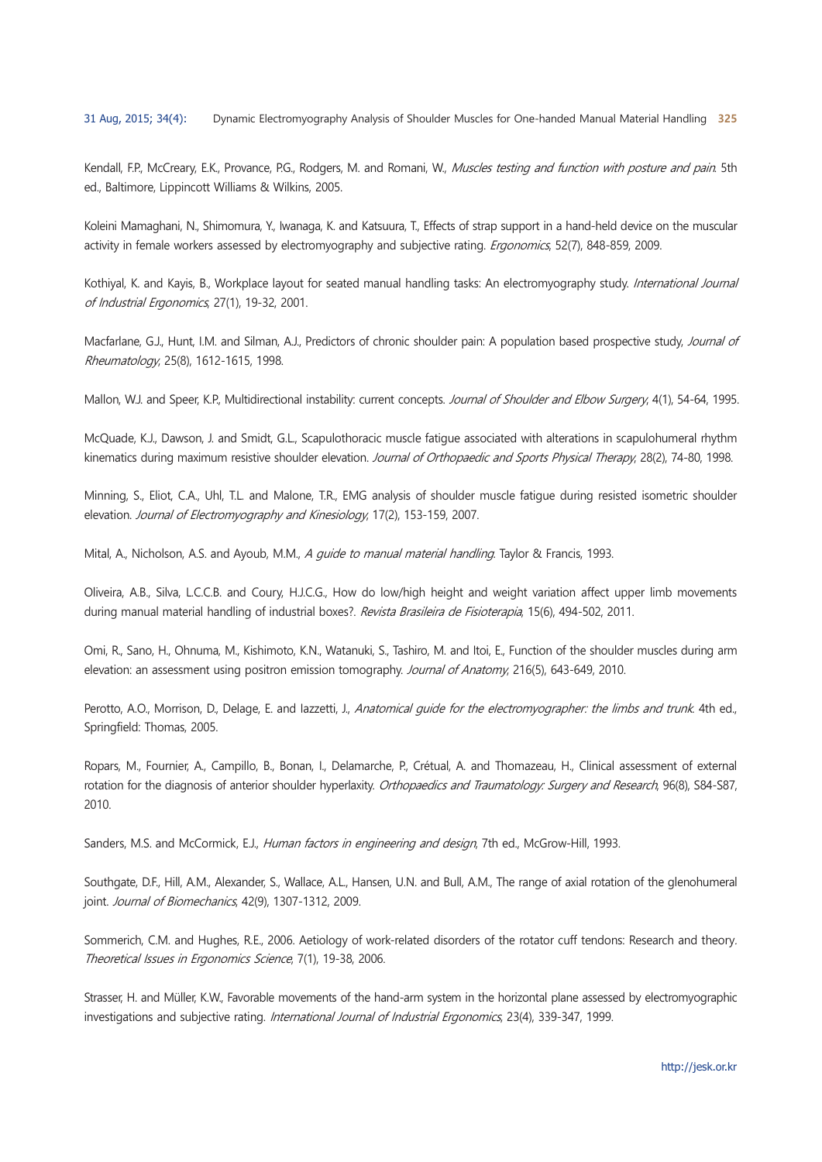Kendall, F.P., McCreary, E.K., Provance, P.G., Rodgers, M. and Romani, W., Muscles testing and function with posture and pain. 5th ed., Baltimore, Lippincott Williams & Wilkins, 2005.

Koleini Mamaghani, N., Shimomura, Y., Iwanaga, K. and Katsuura, T., Effects of strap support in a hand-held device on the muscular activity in female workers assessed by electromyography and subjective rating. Ergonomics, 52(7), 848-859, 2009.

Kothival, K. and Kavis, B., Workplace layout for seated manual handling tasks: An electromyography study, International Journal of Industrial Ergonomics, 27(1), 19-32, 2001.

Macfarlane, G.J., Hunt, I.M. and Silman, A.J., Predictors of chronic shoulder pain: A population based prospective study, Journal of Rheumatology, 25(8), 1612-1615, 1998.

Mallon, W.J. and Speer, K.P., Multidirectional instability: current concepts. Journal of Shoulder and Elbow Surgery, 4(1), 54-64, 1995.

McQuade, K.J., Dawson, J. and Smidt, G.L., Scapulothoracic muscle fatigue associated with alterations in scapulohumeral rhythm kinematics during maximum resistive shoulder elevation. Journal of Orthopaedic and Sports Physical Therapy, 28(2), 74-80, 1998.

Minning, S., Eliot, C.A., Uhl, T.L. and Malone, T.R., EMG analysis of shoulder muscle fatique during resisted isometric shoulder elevation. Journal of Electromyography and Kinesiology, 17(2), 153-159, 2007.

Mital, A., Nicholson, A.S. and Ayoub, M.M., A quide to manual material handling. Taylor & Francis, 1993.

Oliveira, A.B., Silva, L.C.C.B. and Coury, H.J.C.G., How do low/high height and weight variation affect upper limb movements during manual material handling of industrial boxes?. Revista Brasileira de Fisioterapia, 15(6), 494-502, 2011.

Omi, R., Sano, H., Ohnuma, M., Kishimoto, K.N., Watanuki, S., Tashiro, M. and Itoi, E., Function of the shoulder muscles during arm elevation: an assessment using positron emission tomography. Journal of Anatomy, 216(5), 643-649, 2010.

Perotto, A.O., Morrison, D., Delage, E. and lazzetti, J., Anatomical quide for the electromyographer: the limbs and trunk. 4th ed., Springfield: Thomas, 2005.

Ropars, M., Fournier, A., Campillo, B., Bonan, I., Delamarche, P., Crétual, A. and Thomazeau, H., Clinical assessment of external rotation for the diagnosis of anterior shoulder hyperlaxity. Orthopaedics and Traumatology: Surgery and Research, 96(8), S84-S87, 2010.

Sanders, M.S. and McCormick, E.J., Human factors in engineering and design, 7th ed., McGrow-Hill, 1993.

Southgate, D.F., Hill, A.M., Alexander, S., Wallace, A.L., Hansen, U.N. and Bull, A.M., The range of axial rotation of the glenohumeral joint. Journal of Biomechanics, 42(9), 1307-1312, 2009.

Sommerich, C.M. and Hughes, R.E., 2006. Aetiology of work-related disorders of the rotator cuff tendons: Research and theory. Theoretical Issues in Ergonomics Science, 7(1), 19-38, 2006.

Strasser, H. and Müller, K.W., Favorable movements of the hand-arm system in the horizontal plane assessed by electromyographic investigations and subjective rating. International Journal of Industrial Ergonomics, 23(4), 339-347, 1999.